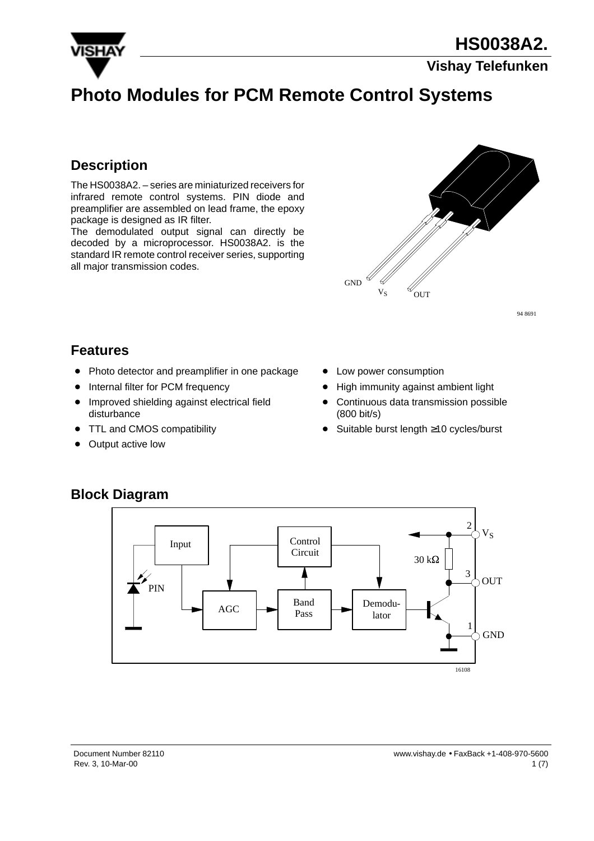

### **Vishay Telefunken**

# **Photo Modules for PCM Remote Control Systems**

## **Description**

The HS0038A2. – series are miniaturized receivers for infrared remote control systems. PIN diode and preamplifier are assembled on lead frame, the epoxy package is designed as IR filter.

The demodulated output signal can directly be decoded by a microprocessor. HS0038A2. is the standard IR remote control receiver series, supporting all major transmission codes.



94 8691

### **Features**

- $\bullet$ Photo detector and preamplifier in one package
- $\bullet$ Internal filter for PCM frequency
- $\bullet$  Improved shielding against electrical field disturbance
- $\bullet$ TTL and CMOS compatibility
- $\bullet$ Output active low
- Low power consumption
- $\bullet$ High immunity against ambient light
- $\bullet$  Continuous data transmission possible (800 bit/s)
- $\bullet$ Suitable burst length ≥10 cycles/burst



## **Block Diagram**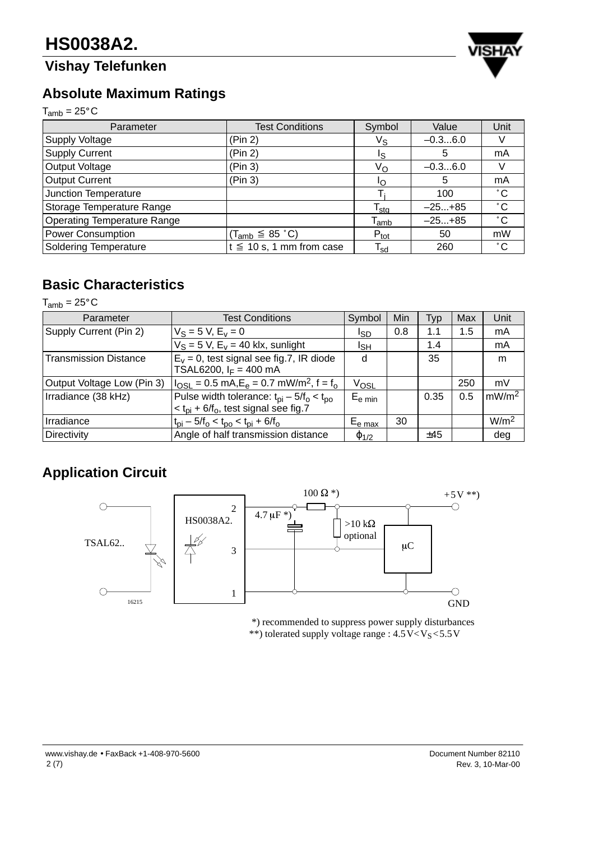# **Vishay Telefunken**



# **Absolute Maximum Ratings**

 $T_{amb} = 25^{\circ}C$ 

| Parameter                          | <b>Test Conditions</b>        | Symbol                     | Value     | Unit         |
|------------------------------------|-------------------------------|----------------------------|-----------|--------------|
| <b>Supply Voltage</b>              | (Pin 2)                       | $V_{\text{S}}$             | $-0.36.0$ |              |
| <b>Supply Current</b>              | (Pin 2)                       | Is.                        | 5         | mA           |
| Output Voltage                     | (Pin 3)                       | Vo                         | $-0.36.0$ |              |
| <b>Output Current</b>              | (Pin 3)                       | חו                         | 5         | mA           |
| Junction Temperature               |                               |                            | 100       | $^{\circ}$ C |
| Storage Temperature Range          |                               | $T_{\text{stq}}$           | $-25+85$  | $^{\circ}$ C |
| <b>Operating Temperature Range</b> |                               | $T_{amb}$                  | $-25+85$  | $^{\circ}$ C |
| <b>Power Consumption</b>           | $(T_{amb} \leq 85 \degree C)$ | $P_{\text{tot}}$           | 50        | mW           |
| <b>Soldering Temperature</b>       | $t \leq 10$ s, 1 mm from case | $\mathsf{T}_{\mathsf{sd}}$ | 260       | $^{\circ}$ C |

## **Basic Characteristics**

 $T_{amb} = 25^{\circ}$ C

| Parameter                    | <b>Test Conditions</b>                                               | Symbol              | Min | Typ  | Max | Unit              |
|------------------------------|----------------------------------------------------------------------|---------------------|-----|------|-----|-------------------|
| Supply Current (Pin 2)       | $V_S = 5 V, E_v = 0$                                                 | Isp                 | 0.8 | 1.1  | 1.5 | mA                |
|                              | $V_S = 5 V$ , $E_V = 40$ klx, sunlight                               | ιsн                 |     | 1.4  |     | mA                |
| <b>Transmission Distance</b> | $E_v = 0$ , test signal see fig.7, IR diode                          | d                   |     | 35   |     | m                 |
|                              | TSAL6200, $I_F = 400$ mA                                             |                     |     |      |     |                   |
| Output Voltage Low (Pin 3)   | $I_{\text{OSL}} = 0.5 \text{ mA}, E_e = 0.7 \text{ mW/m}^2, f = f_0$ | V <sub>OSL</sub>    |     |      | 250 | mV                |
| Irradiance (38 kHz)          | Pulse width tolerance: $t_{pi}$ – 5/ $t_o$ < $t_{po}$                | $E_{e \text{ min}}$ |     | 0.35 | 0.5 | mW/m <sup>2</sup> |
|                              | $<$ t <sub>pi</sub> + 6/f <sub>o</sub> , test signal see fig.7       |                     |     |      |     |                   |
| Irradiance                   | $t_{\rm pi} - 5/f_{\rm o} < t_{\rm po} < t_{\rm pi} + 6/f_{\rm o}$   | $E_{e \, max}$      | 30  |      |     | W/m <sup>2</sup>  |
| <b>Directivity</b>           | Angle of half transmission distance                                  | $\varphi_{1/2}$     |     | ±45  |     | deg               |

# **Application Circuit**



 \*) recommended to suppress power supply disturbances \*\*) tolerated supply voltage range :  $4.5\,\text{V} < \text{V}_\text{S} < 5.5\,\text{V}$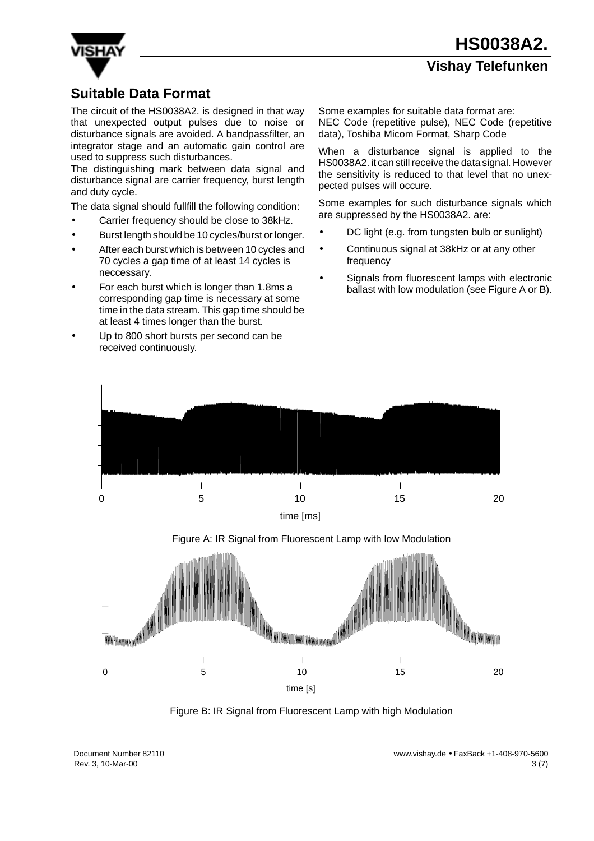**Vishay Telefunken**

## **Suitable Data Format**

The circuit of the HS0038A2. is designed in that way that unexpected output pulses due to noise or disturbance signals are avoided. A bandpassfilter, an integrator stage and an automatic gain control are used to suppress such disturbances.

The distinguishing mark between data signal and disturbance signal are carrier frequency, burst length and duty cycle.

The data signal should fullfill the following condition:

- Carrier frequency should be close to 38kHz.
- Burst length should be 10 cycles/burst or longer.
- After each burst which is between 10 cycles and 70 cycles a gap time of at least 14 cycles is neccessary.
- For each burst which is longer than 1.8ms a corresponding gap time is necessary at some time in the data stream. This gap time should be at least 4 times longer than the burst.
- Up to 800 short bursts per second can be received continuously.

Some examples for suitable data format are: NEC Code (repetitive pulse), NEC Code (repetitive data), Toshiba Micom Format, Sharp Code

When a disturbance signal is applied to the HS0038A2. it can still receive the data signal. However the sensitivity is reduced to that level that no unexpected pulses will occure.

Some examples for such disturbance signals which are suppressed by the HS0038A2. are:

- DC light (e.g. from tungsten bulb or sunlight)
- Continuous signal at 38kHz or at any other frequency
- Signals from fluorescent lamps with electronic ballast with low modulation (see Figure A or B).



Figure A: IR Signal from Fluorescent Lamp with low Modulation



Figure B: IR Signal from Fluorescent Lamp with high Modulation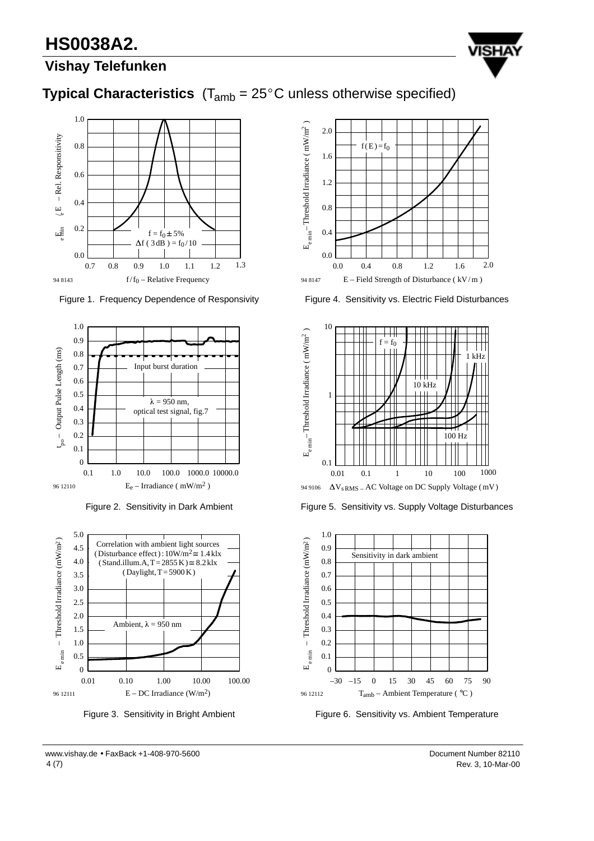# **HS0038A2.**



## **Vishay Telefunken**





Figure 1. Frequency Dependence of Responsivity



Figure 2. Sensitivity in Dark Ambient



Figure 3. Sensitivity in Bright Ambient



Figure 4. Sensitivity vs. Electric Field Disturbances



Figure 5. Sensitivity vs. Supply Voltage Disturbances



Figure 6. Sensitivity vs. Ambient Temperature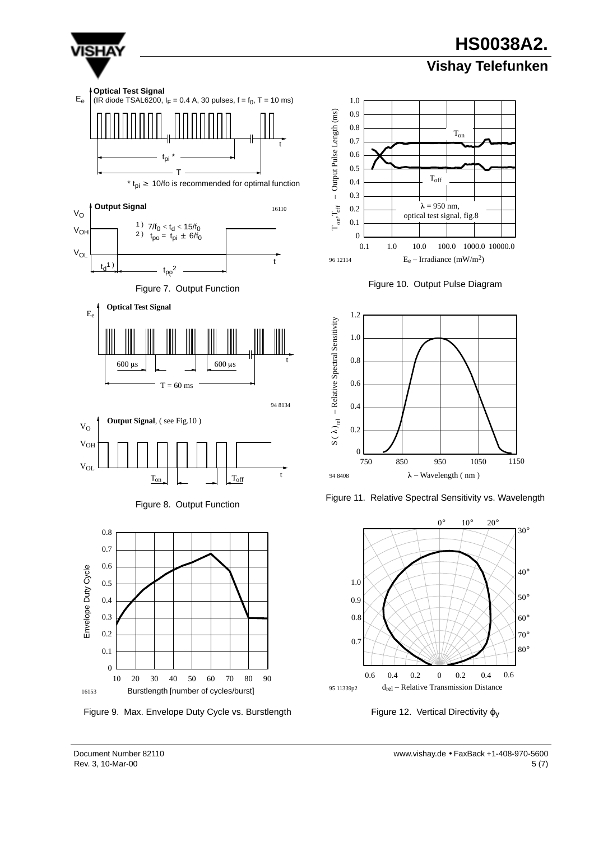

1150

30°

40°

50°

60° 70° 80°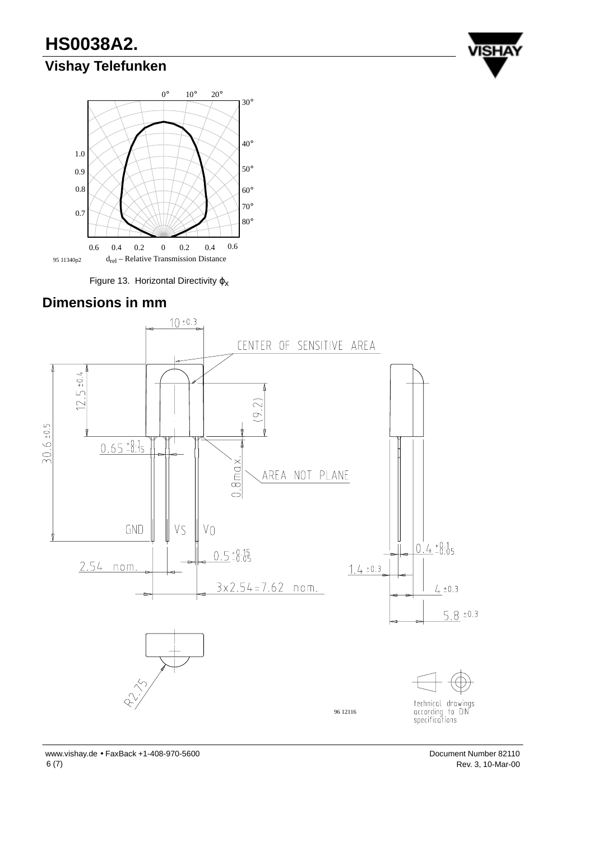# **HS0038A2.**

## **Vishay Telefunken**





Figure 13. Horizontal Directivity  $\varphi_X$ 





www.vishay.de • FaxBack +1-408-970-5600 Document Number 82110 6 (7)

Rev. 3, 10-Mar-00